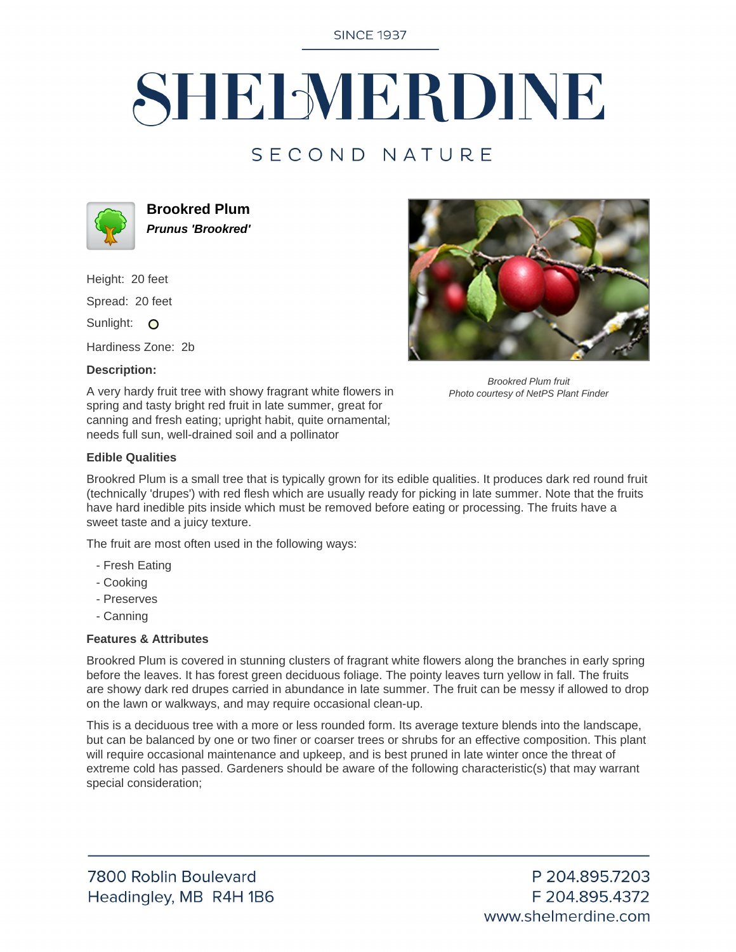**SINCE 1937** 

# SHELMERDINE

## SECOND NATURE



**Brookred Plum Prunus 'Brookred'**

Height: 20 feet

Spread: 20 feet

Sunlight: O

Hardiness Zone: 2b

### **Description:**



Brookred Plum fruit Photo courtesy of NetPS Plant Finder

A very hardy fruit tree with showy fragrant white flowers in spring and tasty bright red fruit in late summer, great for canning and fresh eating; upright habit, quite ornamental; needs full sun, well-drained soil and a pollinator

### **Edible Qualities**

Brookred Plum is a small tree that is typically grown for its edible qualities. It produces dark red round fruit (technically 'drupes') with red flesh which are usually ready for picking in late summer. Note that the fruits have hard inedible pits inside which must be removed before eating or processing. The fruits have a sweet taste and a juicy texture.

The fruit are most often used in the following ways:

- Fresh Eating
- Cooking
- Preserves
- Canning

#### **Features & Attributes**

Brookred Plum is covered in stunning clusters of fragrant white flowers along the branches in early spring before the leaves. It has forest green deciduous foliage. The pointy leaves turn yellow in fall. The fruits are showy dark red drupes carried in abundance in late summer. The fruit can be messy if allowed to drop on the lawn or walkways, and may require occasional clean-up.

This is a deciduous tree with a more or less rounded form. Its average texture blends into the landscape, but can be balanced by one or two finer or coarser trees or shrubs for an effective composition. This plant will require occasional maintenance and upkeep, and is best pruned in late winter once the threat of extreme cold has passed. Gardeners should be aware of the following characteristic(s) that may warrant special consideration;

P 204.895.7203 F 204.895.4372 www.shelmerdine.com